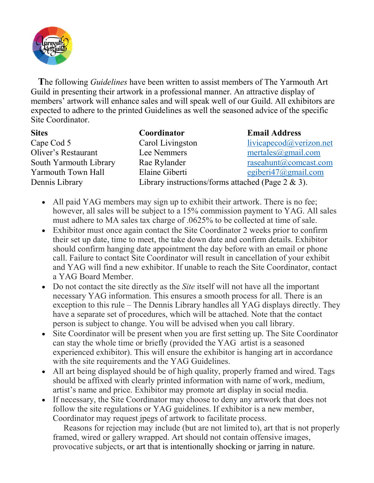

The following *Guidelines* have been written to assist members of The Yarmouth Art Guild in presenting their artwork in a professional manner. An attractive display of members' artwork will enhance sales and will speak well of our Guild. All exhibitors are expected to adhere to the printed Guidelines as well the seasoned advice of the specific Site Coordinator.

| <b>Sites</b>               | Coordinator                                           | <b>Email Address</b>    |  |
|----------------------------|-------------------------------------------------------|-------------------------|--|
| Cape Cod 5                 | Carol Livingston                                      | livicapecod@verizon.net |  |
| <b>Oliver's Restaurant</b> | Lee Nemmers                                           | mertales@gmail.com      |  |
| South Yarmouth Library     | Rae Rylander                                          | raseahunt@comcast.com   |  |
| Yarmouth Town Hall         | Elaine Giberti                                        | egiberi $47$ @gmail.com |  |
| Dennis Library             | Library instructions/forms attached (Page $2 \& 3$ ). |                         |  |

- All paid YAG members may sign up to exhibit their artwork. There is no fee; however, all sales will be subject to a 15% commission payment to YAG. All sales must adhere to MA sales tax charge of .0625% to be collected at time of sale.
- Exhibitor must once again contact the Site Coordinator 2 weeks prior to confirm their set up date, time to meet, the take down date and confirm details. Exhibitor should confirm hanging date appointment the day before with an email or phone call. Failure to contact Site Coordinator will result in cancellation of your exhibit and YAG will find a new exhibitor. If unable to reach the Site Coordinator, contact a YAG Board Member.
- $\bullet$  Do not contact the site directly as the *Site* itself will not have all the important necessary YAG information. This ensures a smooth process for all. There is an exception to this rule – The Dennis Library handles all YAG displays directly. They have a separate set of procedures, which will be attached. Note that the contact person is subject to change. You will be advised when you call library.
- Site Coordinator will be present when you are first setting up. The Site Coordinator can stay the whole time or briefly (provided the YAG artist is a seasoned experienced exhibitor). This will ensure the exhibitor is hanging art in accordance with the site requirements and the YAG Guidelines.
- All art being displayed should be of high quality, properly framed and wired. Tags should be affixed with clearly printed information with name of work, medium, artist's name and price. Exhibitor may promote art display in social media.
- If necessary, the Site Coordinator may choose to deny any artwork that does not follow the site regulations or YAG guidelines. If exhibitor is a new member, Coordinator may request jpegs of artwork to facilitate process.

 Reasons for rejection may include (but are not limited to), art that is not properly framed, wired or gallery wrapped. Art should not contain offensive images, provocative subjects, or art that is intentionally shocking or jarring in nature.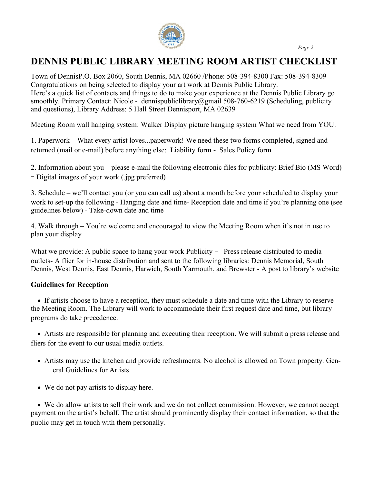

### DENNIS PUBLIC LIBRARY MEETING ROOM ARTIST CHECKLIST

Town of DennisP.O. Box 2060, South Dennis, MA 02660 /Phone: 508-394-8300 Fax: 508-394-8309 Congratulations on being selected to display your art work at Dennis Public Library. Here's a quick list of contacts and things to do to make your experience at the Dennis Public Library go smoothly. Primary Contact: Nicole - dennispubliclibrary@gmail 508-760-6219 (Scheduling, publicity and questions), Library Address: 5 Hall Street Dennisport, MA 02639

Meeting Room wall hanging system: Walker Display picture hanging system What we need from YOU:

1. Paperwork – What every artist loves...paperwork! We need these two forms completed, signed and returned (mail or e-mail) before anything else: Liability form - Sales Policy form

2. Information about you – please e-mail the following electronic files for publicity: Brief Bio (MS Word) - Digital images of your work (.jpg preferred)

3. Schedule – we'll contact you (or you can call us) about a month before your scheduled to display your work to set-up the following - Hanging date and time- Reception date and time if you're planning one (see guidelines below) - Take-down date and time

4. Walk through – You're welcome and encouraged to view the Meeting Room when it's not in use to plan your display

What we provide: A public space to hang your work Publicity  $-$  Press release distributed to media outlets- A flier for in-house distribution and sent to the following libraries: Dennis Memorial, South Dennis, West Dennis, East Dennis, Harwich, South Yarmouth, and Brewster - A post to library's website

### Guidelines for Reception

 If artists choose to have a reception, they must schedule a date and time with the Library to reserve the Meeting Room. The Library will work to accommodate their first request date and time, but library programs do take precedence.

 Artists are responsible for planning and executing their reception. We will submit a press release and fliers for the event to our usual media outlets.

- Artists may use the kitchen and provide refreshments. No alcohol is allowed on Town property. General Guidelines for Artists
- We do not pay artists to display here.

 We do allow artists to sell their work and we do not collect commission. However, we cannot accept payment on the artist's behalf. The artist should prominently display their contact information, so that the public may get in touch with them personally.